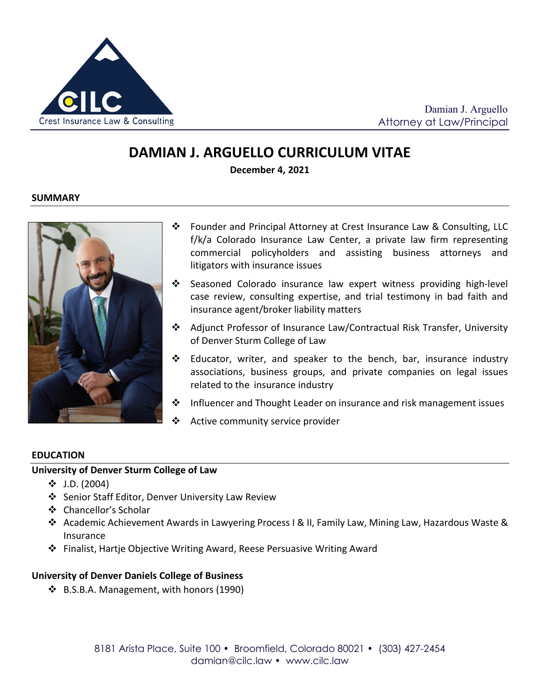

Damian J. Arguello Attorney at Law/Principal

# **DAMIAN J. ARGUELLO CURRICULUM VITAE**

**December 4, 2021**

#### **SUMMARY**



- Founder and Principal Attorney at Crest Insurance Law & Consulting, LLC f/k/a Colorado Insurance Law Center, a private law firm representing commercial policyholders and assisting business attorneys and litigators with insurance issues
- $\div$  Seasoned Colorado insurance law expert witness providing high-level case review, consulting expertise, and trial testimony in bad faith and insurance agent/broker liability matters
- Adjunct Professor of Insurance Law/Contractual Risk Transfer, University of Denver Sturm College of Law
- Educator, writer, and speaker to the bench, bar, insurance industry associations, business groups, and private companies on legal issues related to the insurance industry
- $\clubsuit$  Influencer and Thought Leader on insurance and risk management issues
- ❖ Active community service provider

#### **EDUCATION**

#### **University of Denver Sturm College of Law**

- $\div$  J.D. (2004)
- ❖ Senior Staff Editor, Denver University Law Review
- Chancellor's Scholar
- Academic Achievement Awards in Lawyering Process I & II, Family Law, Mining Law, Hazardous Waste & Insurance
- Finalist, Hartje Objective Writing Award, Reese Persuasive Writing Award

#### **University of Denver Daniels College of Business**

B.S.B.A. Management, with honors (1990)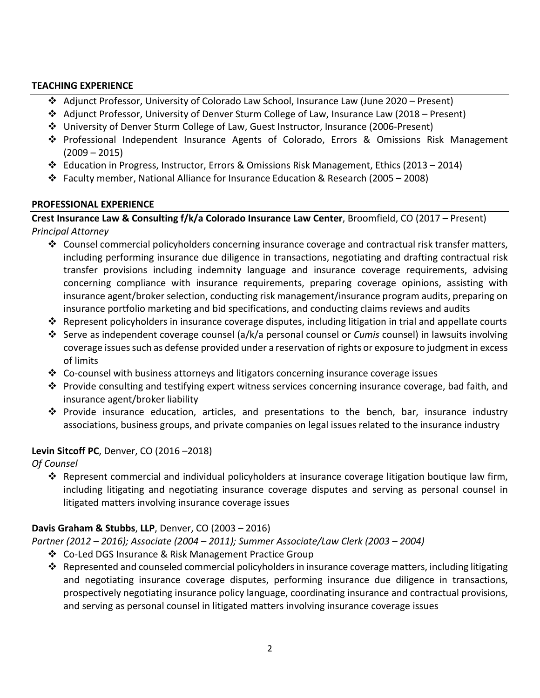#### **TEACHING EXPERIENCE**

- Adjunct Professor, University of Colorado Law School, Insurance Law (June 2020 Present)
- Adjunct Professor, University of Denver Sturm College of Law, Insurance Law (2018 Present)
- University of Denver Sturm College of Law, Guest Instructor, Insurance (2006-Present)
- Professional Independent Insurance Agents of Colorado, Errors & Omissions Risk Management  $(2009 - 2015)$
- $\div$  Education in Progress, Instructor, Errors & Omissions Risk Management, Ethics (2013 2014)
- Faculty member, National Alliance for Insurance Education & Research (2005 2008)

### **PROFESSIONAL EXPERIENCE**

**Crest Insurance Law & Consulting f/k/a Colorado Insurance Law Center**, Broomfield, CO (2017 – Present) *Principal Attorney*

- $\clubsuit$  Counsel commercial policyholders concerning insurance coverage and contractual risk transfer matters, including performing insurance due diligence in transactions, negotiating and drafting contractual risk transfer provisions including indemnity language and insurance coverage requirements, advising concerning compliance with insurance requirements, preparing coverage opinions, assisting with insurance agent/broker selection, conducting risk management/insurance program audits, preparing on insurance portfolio marketing and bid specifications, and conducting claims reviews and audits
- Represent policyholders in insurance coverage disputes, including litigation in trial and appellate courts
- Serve as independent coverage counsel (a/k/a personal counsel or *Cumis* counsel) in lawsuits involving coverage issues such as defense provided under a reservation of rights or exposure to judgment in excess of limits
- $\clubsuit$  Co-counsel with business attorneys and litigators concerning insurance coverage issues
- $\dots$  Provide consulting and testifying expert witness services concerning insurance coverage, bad faith, and insurance agent/broker liability
- $\clubsuit$  Provide insurance education, articles, and presentations to the bench, bar, insurance industry associations, business groups, and private companies on legal issues related to the insurance industry

### **Levin Sitcoff PC**, Denver, CO (2016 –2018)

*Of Counsel*

 $\clubsuit$  Represent commercial and individual policyholders at insurance coverage litigation boutique law firm, including litigating and negotiating insurance coverage disputes and serving as personal counsel in litigated matters involving insurance coverage issues

# **Davis Graham & Stubbs**, **LLP**, Denver, CO (2003 – 2016)

*Partner (2012 – 2016); Associate (2004 – 2011); Summer Associate/Law Clerk (2003 – 2004)*

- ❖ Co-Led DGS Insurance & Risk Management Practice Group
- Represented and counseled commercial policyholders in insurance coverage matters, including litigating and negotiating insurance coverage disputes, performing insurance due diligence in transactions, prospectively negotiating insurance policy language, coordinating insurance and contractual provisions, and serving as personal counsel in litigated matters involving insurance coverage issues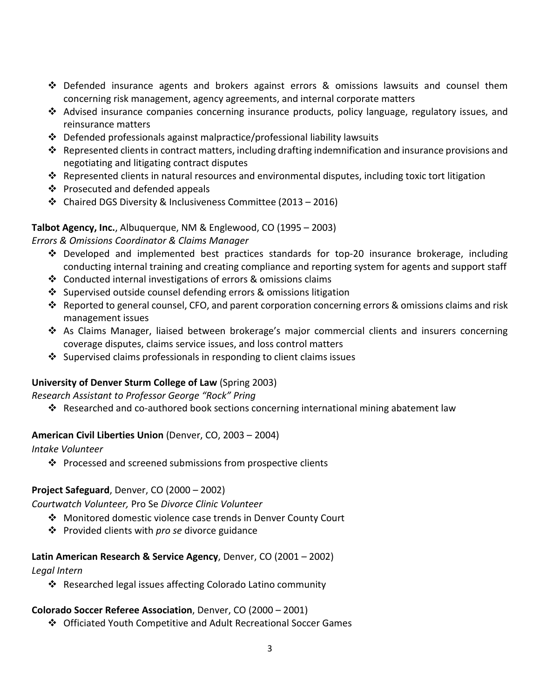- $\clubsuit$  Defended insurance agents and brokers against errors & omissions lawsuits and counsel them concerning risk management, agency agreements, and internal corporate matters
- Advised insurance companies concerning insurance products, policy language, regulatory issues, and reinsurance matters
- $\div$  Defended professionals against malpractice/professional liability lawsuits
- Represented clients in contract matters, including drafting indemnification and insurance provisions and negotiating and litigating contract disputes
- Represented clients in natural resources and environmental disputes, including toxic tort litigation
- ❖ Prosecuted and defended appeals
- Chaired DGS Diversity & Inclusiveness Committee (2013 2016)

# **Talbot Agency, Inc.**, Albuquerque, NM & Englewood, CO (1995 – 2003)

### *Errors & Omissions Coordinator & Claims Manager*

- $\div$  Developed and implemented best practices standards for top-20 insurance brokerage, including conducting internal training and creating compliance and reporting system for agents and support staff
- $\cdot$  Conducted internal investigations of errors & omissions claims
- Supervised outside counsel defending errors & omissions litigation
- Reported to general counsel, CFO, and parent corporation concerning errors & omissions claims and risk management issues
- As Claims Manager, liaised between brokerage's major commercial clients and insurers concerning coverage disputes, claims service issues, and loss control matters
- $\cdot$  Supervised claims professionals in responding to client claims issues

# **University of Denver Sturm College of Law** (Spring 2003)

### *Research Assistant to Professor George "Rock" Pring*

Researched and co-authored book sections concerning international mining abatement law

### **American Civil Liberties Union** (Denver, CO, 2003 – 2004)

*Intake Volunteer*

 $\cdot \cdot$  Processed and screened submissions from prospective clients

### **Project Safeguard**, Denver, CO (2000 – 2002)

*Courtwatch Volunteer,* Pro Se *Divorce Clinic Volunteer*

- Monitored domestic violence case trends in Denver County Court
- Provided clients with *pro se* divorce guidance

### **Latin American Research & Service Agency**, Denver, CO (2001 – 2002)

### *Legal Intern*

❖ Researched legal issues affecting Colorado Latino community

# **Colorado Soccer Referee Association**, Denver, CO (2000 – 2001)

Officiated Youth Competitive and Adult Recreational Soccer Games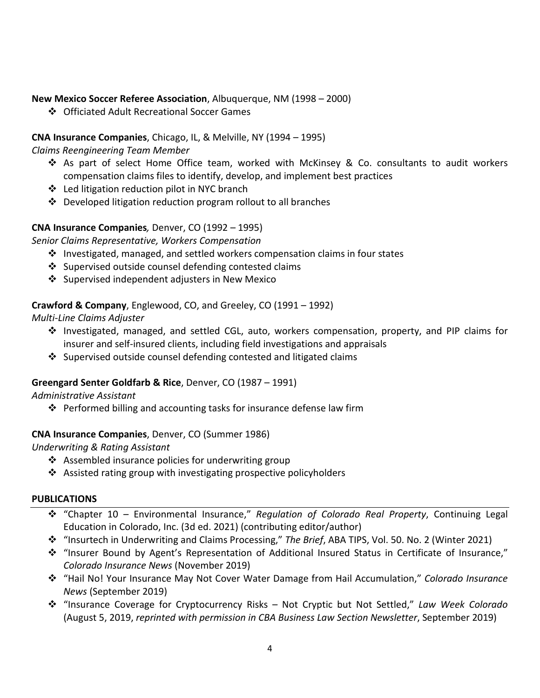### **New Mexico Soccer Referee Association**, Albuquerque, NM (1998 – 2000)

❖ Officiated Adult Recreational Soccer Games

# **CNA Insurance Companies**, Chicago, IL, & Melville, NY (1994 – 1995)

*Claims Reengineering Team Member* 

- As part of select Home Office team, worked with McKinsey & Co. consultants to audit workers compensation claims files to identify, develop, and implement best practices
- Led litigation reduction pilot in NYC branch
- $\cdot$  Developed litigation reduction program rollout to all branches

# **CNA Insurance Companies***,* Denver, CO (1992 – 1995)

*Senior Claims Representative, Workers Compensation*

- $\clubsuit$  Investigated, managed, and settled workers compensation claims in four states
- ❖ Supervised outside counsel defending contested claims
- Supervised independent adjusters in New Mexico

# **Crawford & Company**, Englewood, CO, and Greeley, CO (1991 – 1992)

*Multi-Line Claims Adjuster*

- $\div$  Investigated, managed, and settled CGL, auto, workers compensation, property, and PIP claims for insurer and self-insured clients, including field investigations and appraisals
- $\div$  Supervised outside counsel defending contested and litigated claims

# **Greengard Senter Goldfarb & Rice**, Denver, CO (1987 – 1991)

### *Administrative Assistant*

 $\cdot \cdot$  Performed billing and accounting tasks for insurance defense law firm

### **CNA Insurance Companies**, Denver, CO (Summer 1986)

*Underwriting & Rating Assistant*

- $\cdot$  Assembled insurance policies for underwriting group
- $\triangle$  Assisted rating group with investigating prospective policyholders

### **PUBLICATIONS**

- "Chapter 10 Environmental Insurance," *Regulation of Colorado Real Property*, Continuing Legal Education in Colorado, Inc. (3d ed. 2021) (contributing editor/author)
- "Insurtech in Underwriting and Claims Processing," *The Brief*, ABA TIPS, Vol. 50. No. 2 (Winter 2021)
- "Insurer Bound by Agent's Representation of Additional Insured Status in Certificate of Insurance," *Colorado Insurance News* (November 2019)
- "Hail No! Your Insurance May Not Cover Water Damage from Hail Accumulation," *Colorado Insurance News* (September 2019)
- "Insurance Coverage for Cryptocurrency Risks Not Cryptic but Not Settled," *Law Week Colorado* (August 5, 2019, *reprinted with permission in CBA Business Law Section Newsletter*, September 2019)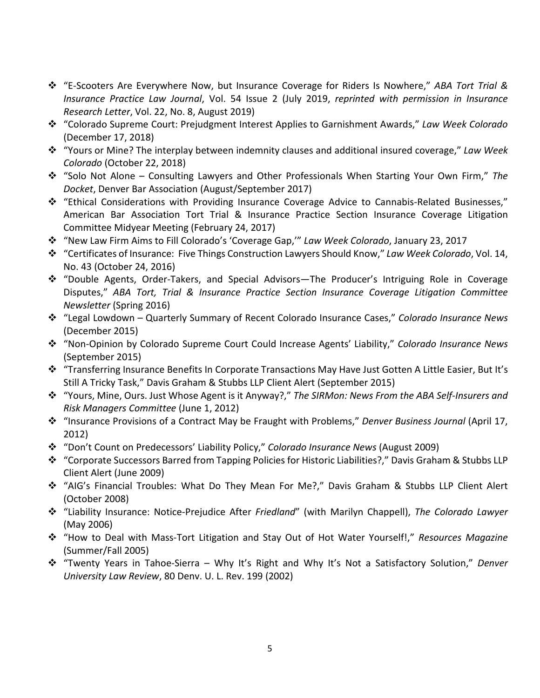- "E-Scooters Are Everywhere Now, but Insurance Coverage for Riders Is Nowhere," *ABA Tort Trial & Insurance Practice Law Journal*, Vol. 54 Issue 2 (July 2019, *reprinted with permission in Insurance Research Letter*, Vol. 22, No. 8, August 2019)
- "Colorado Supreme Court: Prejudgment Interest Applies to Garnishment Awards," *Law Week Colorado* (December 17, 2018)
- "Yours or Mine? The interplay between indemnity clauses and additional insured coverage," *Law Week Colorado* (October 22, 2018)
- "Solo Not Alone Consulting Lawyers and Other Professionals When Starting Your Own Firm," *The Docket*, Denver Bar Association (August/September 2017)
- "Ethical Considerations with Providing Insurance Coverage Advice to Cannabis-Related Businesses," American Bar Association Tort Trial & Insurance Practice Section Insurance Coverage Litigation Committee Midyear Meeting (February 24, 2017)
- "New Law Firm Aims to Fill Colorado's 'Coverage Gap,'" *Law Week Colorado*, January 23, 2017
- "Certificates of Insurance: Five Things Construction Lawyers Should Know," *Law Week Colorado*, Vol. 14, No. 43 (October 24, 2016)
- "Double Agents, Order-Takers, and Special Advisors—The Producer's Intriguing Role in Coverage Disputes," *ABA Tort, Trial & Insurance Practice Section Insurance Coverage Litigation Committee Newsletter* (Spring 2016)
- "Legal Lowdown Quarterly Summary of Recent Colorado Insurance Cases," *Colorado Insurance News* (December 2015)
- "Non-Opinion by Colorado Supreme Court Could Increase Agents' Liability," *Colorado Insurance News* (September 2015)
- "Transferring Insurance Benefits In Corporate Transactions May Have Just Gotten A Little Easier, But It's Still A Tricky Task," Davis Graham & Stubbs LLP Client Alert (September 2015)
- "Yours, Mine, Ours. Just Whose Agent is it Anyway?," *The SIRMon: News From the ABA Self-Insurers and Risk Managers Committee* (June 1, 2012)
- "Insurance Provisions of a Contract May be Fraught with Problems," *Denver Business Journal* (April 17, 2012)
- "Don't Count on Predecessors' Liability Policy," *Colorado Insurance News* (August 2009)
- "Corporate Successors Barred from Tapping Policies for Historic Liabilities?," Davis Graham & Stubbs LLP Client Alert (June 2009)
- "AIG's Financial Troubles: What Do They Mean For Me?," Davis Graham & Stubbs LLP Client Alert (October 2008)
- "Liability Insurance: Notice-Prejudice After *Friedland*" (with Marilyn Chappell), *The Colorado Lawyer* (May 2006)
- "How to Deal with Mass-Tort Litigation and Stay Out of Hot Water Yourself!," *Resources Magazine* (Summer/Fall 2005)
- "Twenty Years in Tahoe-Sierra Why It's Right and Why It's Not a Satisfactory Solution," *Denver University Law Review*, 80 Denv. U. L. Rev. 199 (2002)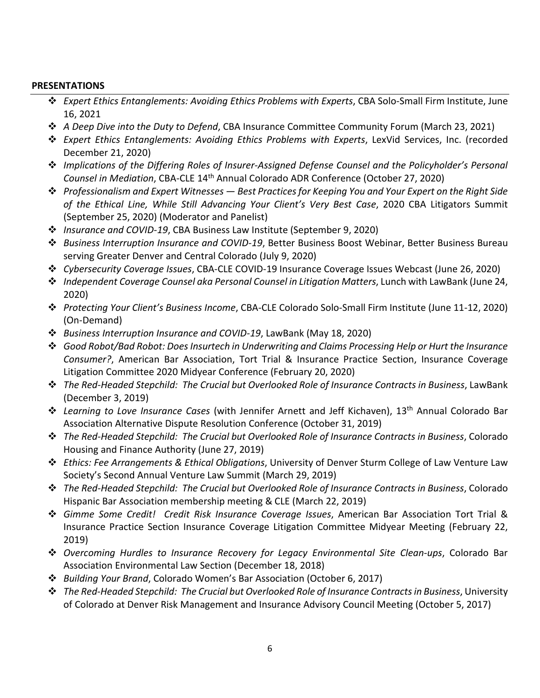#### **PRESENTATIONS**

- *Expert Ethics Entanglements: Avoiding Ethics Problems with Experts*, CBA Solo-Small Firm Institute, June 16, 2021
- *A Deep Dive into the Duty to Defend*, CBA Insurance Committee Community Forum (March 23, 2021)
- *Expert Ethics Entanglements: Avoiding Ethics Problems with Experts*, LexVid Services, Inc. (recorded December 21, 2020)
- *Implications of the Differing Roles of Insurer-Assigned Defense Counsel and the Policyholder's Personal Counsel in Mediation*, CBA-CLE 14th Annual Colorado ADR Conference (October 27, 2020)
- *Professionalism and Expert Witnesses — Best Practices for Keeping You and Your Expert on the Right Side of the Ethical Line, While Still Advancing Your Client's Very Best Case*, 2020 CBA Litigators Summit (September 25, 2020) (Moderator and Panelist)
- *Insurance and COVID-19*, CBA Business Law Institute (September 9, 2020)
- *Business Interruption Insurance and COVID-19*, Better Business Boost Webinar, Better Business Bureau serving Greater Denver and Central Colorado (July 9, 2020)
- *Cybersecurity Coverage Issues*, CBA-CLE COVID-19 Insurance Coverage Issues Webcast (June 26, 2020)
- *Independent Coverage Counsel aka Personal Counsel in Litigation Matters*, Lunch with LawBank (June 24, 2020)
- *Protecting Your Client's Business Income*, CBA-CLE Colorado Solo-Small Firm Institute (June 11-12, 2020) (On-Demand)
- *Business Interruption Insurance and COVID-19*, LawBank (May 18, 2020)
- *Good Robot/Bad Robot: Does Insurtech in Underwriting and Claims Processing Help or Hurt the Insurance Consumer?*, American Bar Association, Tort Trial & Insurance Practice Section, Insurance Coverage Litigation Committee 2020 Midyear Conference (February 20, 2020)
- *The Red-Headed Stepchild: The Crucial but Overlooked Role of Insurance Contracts in Business*, LawBank (December 3, 2019)
- *Learning to Love Insurance Cases* (with Jennifer Arnett and Jeff Kichaven), 13th Annual Colorado Bar Association Alternative Dispute Resolution Conference (October 31, 2019)
- *The Red-Headed Stepchild: The Crucial but Overlooked Role of Insurance Contracts in Business*, Colorado Housing and Finance Authority (June 27, 2019)
- *Ethics: Fee Arrangements & Ethical Obligations*, University of Denver Sturm College of Law Venture Law Society's Second Annual Venture Law Summit (March 29, 2019)
- *The Red-Headed Stepchild: The Crucial but Overlooked Role of Insurance Contracts in Business*, Colorado Hispanic Bar Association membership meeting & CLE (March 22, 2019)
- *Gimme Some Credit! Credit Risk Insurance Coverage Issues*, American Bar Association Tort Trial & Insurance Practice Section Insurance Coverage Litigation Committee Midyear Meeting (February 22, 2019)
- *Overcoming Hurdles to Insurance Recovery for Legacy Environmental Site Clean-ups*, Colorado Bar Association Environmental Law Section (December 18, 2018)
- *Building Your Brand*, Colorado Women's Bar Association (October 6, 2017)
- *The Red-Headed Stepchild: The Crucial but Overlooked Role of Insurance Contracts in Business*, University of Colorado at Denver Risk Management and Insurance Advisory Council Meeting (October 5, 2017)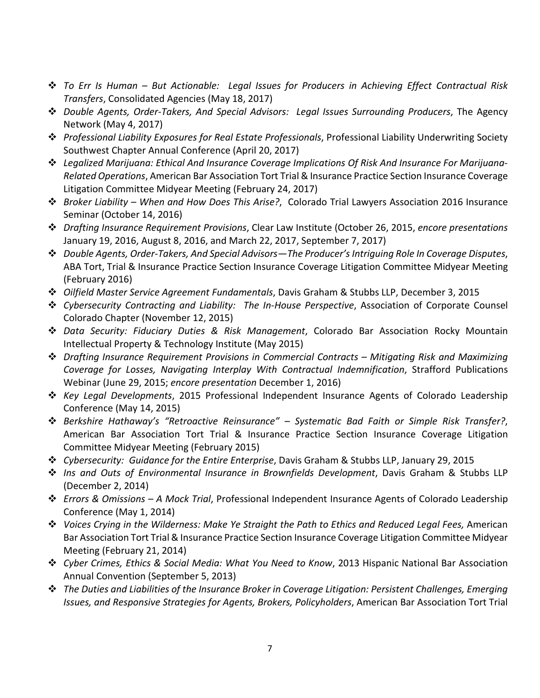- *To Err Is Human – But Actionable: Legal Issues for Producers in Achieving Effect Contractual Risk Transfers*, Consolidated Agencies (May 18, 2017)
- *Double Agents, Order-Takers, And Special Advisors: Legal Issues Surrounding Producers*, The Agency Network (May 4, 2017)
- *Professional Liability Exposures for Real Estate Professionals*, Professional Liability Underwriting Society Southwest Chapter Annual Conference (April 20, 2017)
- *Legalized Marijuana: Ethical And Insurance Coverage Implications Of Risk And Insurance For Marijuana-Related Operations*, American Bar Association Tort Trial & Insurance Practice Section Insurance Coverage Litigation Committee Midyear Meeting (February 24, 2017)
- *Broker Liability – When and How Does This Arise?*, Colorado Trial Lawyers Association 2016 Insurance Seminar (October 14, 2016)
- *Drafting Insurance Requirement Provisions*, Clear Law Institute (October 26, 2015, *encore presentations* January 19, 2016, August 8, 2016, and March 22, 2017, September 7, 2017)
- *Double Agents, Order-Takers, And Special Advisors—The Producer's Intriguing Role In Coverage Disputes*, ABA Tort, Trial & Insurance Practice Section Insurance Coverage Litigation Committee Midyear Meeting (February 2016)
- *Oilfield Master Service Agreement Fundamentals*, Davis Graham & Stubbs LLP, December 3, 2015
- *Cybersecurity Contracting and Liability: The In-House Perspective*, Association of Corporate Counsel Colorado Chapter (November 12, 2015)
- *Data Security: Fiduciary Duties & Risk Management*, Colorado Bar Association Rocky Mountain Intellectual Property & Technology Institute (May 2015)
- *Drafting Insurance Requirement Provisions in Commercial Contracts – Mitigating Risk and Maximizing Coverage for Losses, Navigating Interplay With Contractual Indemnification*, Strafford Publications Webinar (June 29, 2015; *encore presentation* December 1, 2016)
- *Key Legal Developments*, 2015 Professional Independent Insurance Agents of Colorado Leadership Conference (May 14, 2015)
- *Berkshire Hathaway's "Retroactive Reinsurance" – Systematic Bad Faith or Simple Risk Transfer?*, American Bar Association Tort Trial & Insurance Practice Section Insurance Coverage Litigation Committee Midyear Meeting (February 2015)
- *Cybersecurity: Guidance for the Entire Enterprise*, Davis Graham & Stubbs LLP, January 29, 2015
- *Ins and Outs of Environmental Insurance in Brownfields Development*, Davis Graham & Stubbs LLP (December 2, 2014)
- *Errors & Omissions – A Mock Trial*, Professional Independent Insurance Agents of Colorado Leadership Conference (May 1, 2014)
- *Voices Crying in the Wilderness: Make Ye Straight the Path to Ethics and Reduced Legal Fees,* American Bar Association Tort Trial & Insurance Practice Section Insurance Coverage Litigation Committee Midyear Meeting (February 21, 2014)
- *Cyber Crimes, Ethics & Social Media: What You Need to Know*, 2013 Hispanic National Bar Association Annual Convention (September 5, 2013)
- *The Duties and Liabilities of the Insurance Broker in Coverage Litigation: Persistent Challenges, Emerging Issues, and Responsive Strategies for Agents, Brokers, Policyholders*, American Bar Association Tort Trial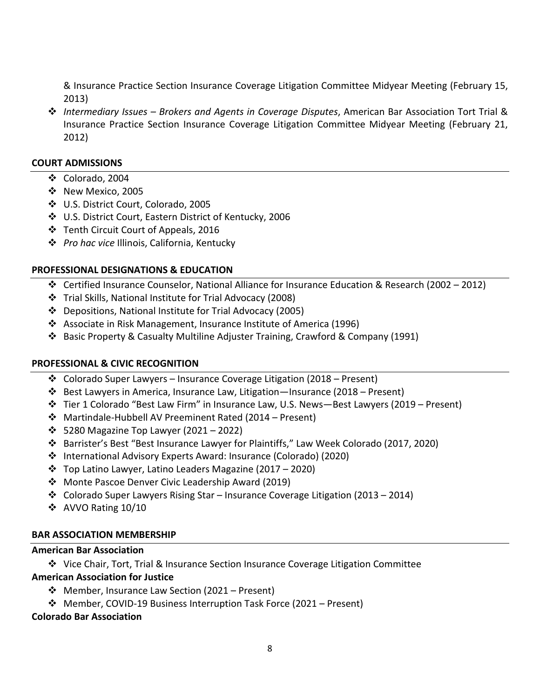& Insurance Practice Section Insurance Coverage Litigation Committee Midyear Meeting (February 15, 2013)

 *Intermediary Issues – Brokers and Agents in Coverage Disputes*, American Bar Association Tort Trial & Insurance Practice Section Insurance Coverage Litigation Committee Midyear Meeting (February 21, 2012)

#### **COURT ADMISSIONS**

- Colorado, 2004
- ❖ New Mexico, 2005
- U.S. District Court, Colorado, 2005
- U.S. District Court, Eastern District of Kentucky, 2006
- Tenth Circuit Court of Appeals, 2016
- *Pro hac vice* Illinois, California, Kentucky

#### **PROFESSIONAL DESIGNATIONS & EDUCATION**

- ◆ Certified Insurance Counselor, National Alliance for Insurance Education & Research (2002 2012)
- Trial Skills, National Institute for Trial Advocacy (2008)
- Depositions, National Institute for Trial Advocacy (2005)
- Associate in Risk Management, Insurance Institute of America (1996)
- Basic Property & Casualty Multiline Adjuster Training, Crawford & Company (1991)

#### **PROFESSIONAL & CIVIC RECOGNITION**

- Colorado Super Lawyers Insurance Coverage Litigation (2018 Present)
- $*$  Best Lawyers in America, Insurance Law, Litigation—Insurance (2018 Present)
- Tier 1 Colorado "Best Law Firm" in Insurance Law, U.S. News—Best Lawyers (2019 Present)
- Martindale-Hubbell AV Preeminent Rated (2014 Present)
- $\div$  5280 Magazine Top Lawyer (2021 2022)
- Barrister's Best "Best Insurance Lawyer for Plaintiffs," Law Week Colorado (2017, 2020)
- International Advisory Experts Award: Insurance (Colorado) (2020)
- $\cdot$  Top Latino Lawyer, Latino Leaders Magazine (2017 2020)
- Monte Pascoe Denver Civic Leadership Award (2019)
- $\dots$  Colorado Super Lawyers Rising Star Insurance Coverage Litigation (2013 2014)
- ❖ AVVO Rating 10/10

#### **BAR ASSOCIATION MEMBERSHIP**

#### **American Bar Association**

Vice Chair, Tort, Trial & Insurance Section Insurance Coverage Litigation Committee

### **American Association for Justice**

- Member, Insurance Law Section (2021 Present)
- Member, COVID-19 Business Interruption Task Force (2021 Present)

#### **Colorado Bar Association**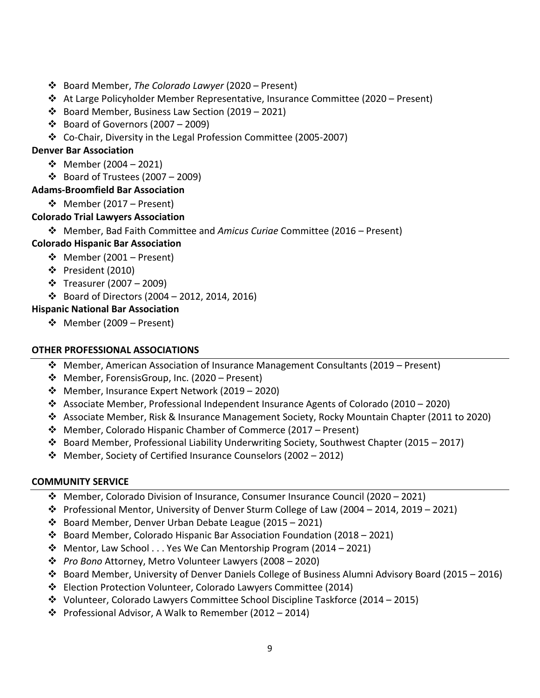- Board Member, *The Colorado Lawyer* (2020 Present)
- At Large Policyholder Member Representative, Insurance Committee (2020 Present)
- $\cdot$  Board Member, Business Law Section (2019 2021)
- $\div$  Board of Governors (2007 2009)
- Co-Chair, Diversity in the Legal Profession Committee (2005-2007)

# **Denver Bar Association**

- $\div$  Member (2004 2021)
- $\div$  Board of Trustees (2007 2009)

# **Adams-Broomfield Bar Association**

Member (2017 – Present)

# **Colorado Trial Lawyers Association**

Member, Bad Faith Committee and *Amicus Curiae* Committee (2016 – Present)

# **Colorado Hispanic Bar Association**

- $\div$  Member (2001 Present)
- $\div$  President (2010)
- $\div$  Treasurer (2007 2009)
- $\div$  Board of Directors (2004 2012, 2014, 2016)

# **Hispanic National Bar Association**

 $\div$  Member (2009 – Present)

### **OTHER PROFESSIONAL ASSOCIATIONS**

- Member, American Association of Insurance Management Consultants (2019 Present)
- Member, ForensisGroup, Inc. (2020 Present)
- Member, Insurance Expert Network (2019 2020)
- Associate Member, Professional Independent Insurance Agents of Colorado (2010 2020)
- Associate Member, Risk & Insurance Management Society, Rocky Mountain Chapter (2011 to 2020)
- Member, Colorado Hispanic Chamber of Commerce (2017 Present)
- $\clubsuit$  Board Member, Professional Liability Underwriting Society, Southwest Chapter (2015 2017)
- $\cdot$  Member, Society of Certified Insurance Counselors (2002 2012)

### **COMMUNITY SERVICE**

- $\div$  Member, Colorado Division of Insurance, Consumer Insurance Council (2020 2021)
- $\cdot \cdot$  Professional Mentor, University of Denver Sturm College of Law (2004 2014, 2019 2021)
- $\cdot$  Board Member, Denver Urban Debate League (2015 2021)
- $\dots$  Board Member, Colorado Hispanic Bar Association Foundation (2018 2021)
- $\cdot$  Mentor, Law School ... Yes We Can Mentorship Program (2014 2021)
- *Pro Bono* Attorney, Metro Volunteer Lawyers (2008 2020)
- $\dots$  Board Member, University of Denver Daniels College of Business Alumni Advisory Board (2015 2016)
- Election Protection Volunteer, Colorado Lawyers Committee (2014)
- $\div$  Volunteer, Colorado Lawyers Committee School Discipline Taskforce (2014 2015)
- $\cdot \cdot$  Professional Advisor, A Walk to Remember (2012 2014)